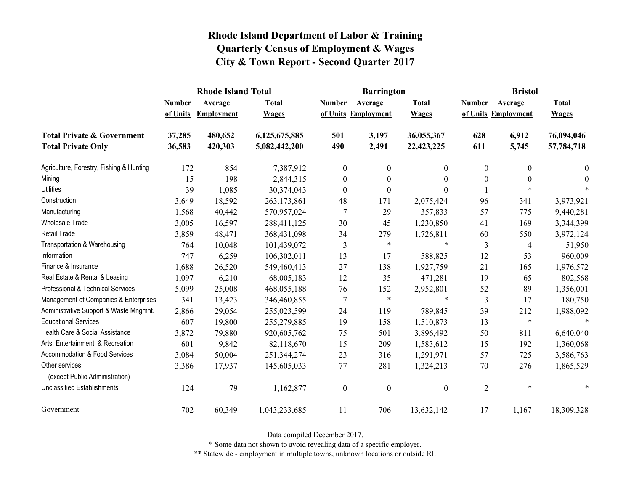|                                                   |               | <b>Rhode Island Total</b> |               |                  | <b>Barrington</b>   |                  | <b>Bristol</b>   |                     |                |
|---------------------------------------------------|---------------|---------------------------|---------------|------------------|---------------------|------------------|------------------|---------------------|----------------|
|                                                   | <b>Number</b> | Average                   | <b>Total</b>  | <b>Number</b>    | Average             | <b>Total</b>     | <b>Number</b>    | Average             | <b>Total</b>   |
|                                                   | of Units      | Employment                | <b>Wages</b>  |                  | of Units Employment | <b>Wages</b>     |                  | of Units Employment | <b>Wages</b>   |
| <b>Total Private &amp; Government</b>             | 37,285        | 480,652                   | 6,125,675,885 | 501              | 3,197               | 36,055,367       | 628              | 6,912               | 76,094,046     |
| <b>Total Private Only</b>                         | 36,583        | 420,303                   | 5,082,442,200 | 490              | 2,491               | 22,423,225       | 611              | 5,745               | 57,784,718     |
| Agriculture, Forestry, Fishing & Hunting          | 172           | 854                       | 7,387,912     | $\boldsymbol{0}$ | $\boldsymbol{0}$    | $\overline{0}$   | $\boldsymbol{0}$ | $\mathbf{0}$        | $\overline{0}$ |
| Mining                                            | 15            | 198                       | 2,844,315     | $\boldsymbol{0}$ | $\boldsymbol{0}$    | 0                | $\mathbf{0}$     | $\theta$            | $\Omega$       |
| <b>Utilities</b>                                  | 39            | 1,085                     | 30,374,043    | $\boldsymbol{0}$ | $\boldsymbol{0}$    | 0                |                  | $\ast$              |                |
| Construction                                      | 3,649         | 18,592                    | 263,173,861   | 48               | 171                 | 2,075,424        | 96               | 341                 | 3,973,921      |
| Manufacturing                                     | 1,568         | 40,442                    | 570,957,024   | 7                | 29                  | 357,833          | 57               | 775                 | 9,440,281      |
| Wholesale Trade                                   | 3,005         | 16,597                    | 288,411,125   | 30               | 45                  | 1,230,850        | 41               | 169                 | 3,344,399      |
| <b>Retail Trade</b>                               | 3,859         | 48,471                    | 368,431,098   | 34               | 279                 | 1,726,811        | 60               | 550                 | 3,972,124      |
| Transportation & Warehousing                      | 764           | 10,048                    | 101,439,072   | 3                | $\ast$              | $\ast$           | $\mathfrak{Z}$   | 4                   | 51,950         |
| Information                                       | 747           | 6,259                     | 106,302,011   | 13               | 17                  | 588,825          | 12               | 53                  | 960,009        |
| Finance & Insurance                               | 1,688         | 26,520                    | 549,460,413   | 27               | 138                 | 1,927,759        | 21               | 165                 | 1,976,572      |
| Real Estate & Rental & Leasing                    | 1,097         | 6,210                     | 68,005,183    | 12               | 35                  | 471,281          | 19               | 65                  | 802,568        |
| Professional & Technical Services                 | 5,099         | 25,008                    | 468,055,188   | 76               | 152                 | 2,952,801        | 52               | 89                  | 1,356,001      |
| Management of Companies & Enterprises             | 341           | 13,423                    | 346,460,855   | $\overline{7}$   | $\ast$              | $\ast$           | $\mathfrak{Z}$   | 17                  | 180,750        |
| Administrative Support & Waste Mngmnt.            | 2,866         | 29,054                    | 255,023,599   | 24               | 119                 | 789,845          | 39               | 212                 | 1,988,092      |
| <b>Educational Services</b>                       | 607           | 19,800                    | 255,279,885   | 19               | 158                 | 1,510,873        | 13               | $\ast$              | $\ast$         |
| Health Care & Social Assistance                   | 3,872         | 79,880                    | 920,605,762   | 75               | 501                 | 3,896,492        | 50               | 811                 | 6,640,040      |
| Arts, Entertainment, & Recreation                 | 601           | 9,842                     | 82,118,670    | 15               | 209                 | 1,583,612        | 15               | 192                 | 1,360,068      |
| <b>Accommodation &amp; Food Services</b>          | 3,084         | 50,004                    | 251,344,274   | 23               | 316                 | 1,291,971        | 57               | 725                 | 3,586,763      |
| Other services,<br>(except Public Administration) | 3,386         | 17,937                    | 145,605,033   | 77               | 281                 | 1,324,213        | 70               | 276                 | 1,865,529      |
| <b>Unclassified Establishments</b>                | 124           | 79                        | 1,162,877     | $\boldsymbol{0}$ | $\boldsymbol{0}$    | $\boldsymbol{0}$ | $\overline{2}$   | $\ast$              | $\ast$         |
| Government                                        | 702           | 60,349                    | 1,043,233,685 | 11               | 706                 | 13,632,142       | 17               | 1,167               | 18,309,328     |

Data compiled December 2017.

\* Some data not shown to avoid revealing data of a specific employer.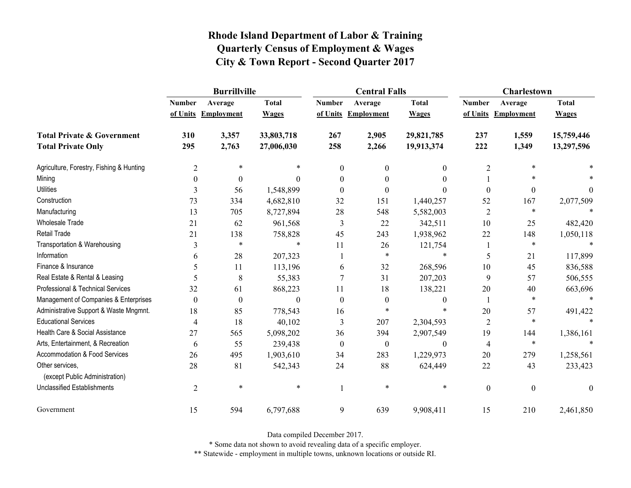|                                                   | <b>Burrillville</b> |                     |              |                  | <b>Central Falls</b> |                  | Charlestown      |                     |              |
|---------------------------------------------------|---------------------|---------------------|--------------|------------------|----------------------|------------------|------------------|---------------------|--------------|
|                                                   | <b>Number</b>       | Average             | <b>Total</b> | <b>Number</b>    | Average              | <b>Total</b>     | <b>Number</b>    | Average             | <b>Total</b> |
|                                                   |                     | of Units Employment | <b>Wages</b> |                  | of Units Employment  | <b>Wages</b>     |                  | of Units Employment | <b>Wages</b> |
| <b>Total Private &amp; Government</b>             | 310                 | 3,357               | 33,803,718   | 267              | 2,905                | 29,821,785       | 237              | 1,559               | 15,759,446   |
| <b>Total Private Only</b>                         | 295                 | 2,763               | 27,006,030   | 258              | 2,266                | 19,913,374       | 222              | 1,349               | 13,297,596   |
| Agriculture, Forestry, Fishing & Hunting          | $\overline{2}$      | $\ast$              | *            | $\boldsymbol{0}$ | $\theta$             | $\boldsymbol{0}$ | $\overline{2}$   | $\ast$              |              |
| Mining                                            | $\boldsymbol{0}$    | $\boldsymbol{0}$    | $\theta$     | $\theta$         | $\theta$             | $\boldsymbol{0}$ |                  |                     |              |
| <b>Utilities</b>                                  | 3                   | 56                  | 1,548,899    | $\Omega$         | $\theta$             | $\theta$         | $\boldsymbol{0}$ | $\boldsymbol{0}$    | $\theta$     |
| Construction                                      | 73                  | 334                 | 4,682,810    | 32               | 151                  | 1,440,257        | 52               | 167                 | 2,077,509    |
| Manufacturing                                     | 13                  | 705                 | 8,727,894    | 28               | 548                  | 5,582,003        | $\overline{2}$   | $\ast$              |              |
| <b>Wholesale Trade</b>                            | 21                  | 62                  | 961,568      | 3                | 22                   | 342,511          | 10               | 25                  | 482,420      |
| Retail Trade                                      | 21                  | 138                 | 758,828      | 45               | 243                  | 1,938,962        | 22               | 148                 | 1,050,118    |
| Transportation & Warehousing                      | 3                   | $\ast$              | $\ast$       | 11               | 26                   | 121,754          |                  | $\ast$              | $\ast$       |
| Information                                       | 6                   | 28                  | 207,323      |                  | *                    | $\ast$           | 5                | 21                  | 117,899      |
| Finance & Insurance                               | 5                   | 11                  | 113,196      | 6                | 32                   | 268,596          | 10               | 45                  | 836,588      |
| Real Estate & Rental & Leasing                    | 5                   | 8                   | 55,383       |                  | 31                   | 207,203          | 9                | 57                  | 506,555      |
| Professional & Technical Services                 | 32                  | 61                  | 868,223      | 11               | 18                   | 138,221          | 20               | 40                  | 663,696      |
| Management of Companies & Enterprises             | $\boldsymbol{0}$    | $\boldsymbol{0}$    | $\theta$     | $\theta$         | $\boldsymbol{0}$     | $\mathbf{0}$     |                  | $\ast$              | $\ast$       |
| Administrative Support & Waste Mngmnt.            | 18                  | 85                  | 778,543      | 16               | $\ast$               | *                | 20               | 57                  | 491,422      |
| <b>Educational Services</b>                       | 4                   | 18                  | 40,102       | 3                | 207                  | 2,304,593        | $\overline{2}$   | $\ast$              |              |
| Health Care & Social Assistance                   | 27                  | 565                 | 5,098,202    | 36               | 394                  | 2,907,549        | 19               | 144                 | 1,386,161    |
| Arts, Entertainment, & Recreation                 | 6                   | 55                  | 239,438      | $\boldsymbol{0}$ | $\boldsymbol{0}$     | $\boldsymbol{0}$ | $\overline{4}$   | $\ast$              | $\ast$       |
| Accommodation & Food Services                     | 26                  | 495                 | 1,903,610    | 34               | 283                  | 1,229,973        | 20               | 279                 | 1,258,561    |
| Other services,<br>(except Public Administration) | 28                  | 81                  | 542,343      | 24               | 88                   | 624,449          | 22               | 43                  | 233,423      |
| <b>Unclassified Establishments</b>                | $\overline{2}$      | $\ast$              | $\ast$       |                  | $\ast$               | $\ast$           | $\boldsymbol{0}$ | $\boldsymbol{0}$    | $\mathbf{0}$ |
| Government                                        | 15                  | 594                 | 6,797,688    | 9                | 639                  | 9,908,411        | 15               | 210                 | 2,461,850    |

Data compiled December 2017.

\* Some data not shown to avoid revealing data of a specific employer.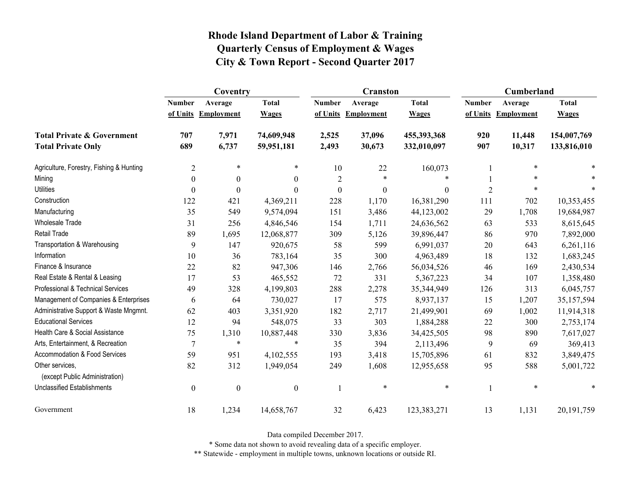|                                                   | Coventry         |                  |                  |                  | <b>Cranston</b>     |              | Cumberland     |                     |              |
|---------------------------------------------------|------------------|------------------|------------------|------------------|---------------------|--------------|----------------|---------------------|--------------|
|                                                   | <b>Number</b>    | Average          | <b>Total</b>     | <b>Number</b>    | Average             | <b>Total</b> | <b>Number</b>  | Average             | <b>Total</b> |
|                                                   | of Units         | Employment       | <b>Wages</b>     |                  | of Units Employment | <b>Wages</b> |                | of Units Employment | <b>Wages</b> |
| <b>Total Private &amp; Government</b>             | 707              | 7,971            | 74,609,948       | 2,525            | 37,096              | 455,393,368  | 920            | 11,448              | 154,007,769  |
| <b>Total Private Only</b>                         | 689              | 6,737            | 59,951,181       | 2,493            | 30,673              | 332,010,097  | 907            | 10,317              | 133,816,010  |
| Agriculture, Forestry, Fishing & Hunting          | $\overline{2}$   | $\ast$           | $\ast$           | 10               | 22                  | 160,073      |                | $\ast$              |              |
| Mining                                            | $\mathbf{0}$     | $\theta$         | $\theta$         | $\overline{2}$   | $\ast$              | *            |                |                     |              |
| <b>Utilities</b>                                  | $\boldsymbol{0}$ | $\overline{0}$   | $\theta$         | $\boldsymbol{0}$ | $\mathbf{0}$        | $\theta$     | $\overline{2}$ | $\ast$              |              |
| Construction                                      | 122              | 421              | 4,369,211        | 228              | 1,170               | 16,381,290   | 111            | 702                 | 10,353,455   |
| Manufacturing                                     | 35               | 549              | 9,574,094        | 151              | 3,486               | 44,123,002   | 29             | 1,708               | 19,684,987   |
| <b>Wholesale Trade</b>                            | 31               | 256              | 4,846,546        | 154              | 1,711               | 24,636,562   | 63             | 533                 | 8,615,645    |
| Retail Trade                                      | 89               | 1,695            | 12,068,877       | 309              | 5,126               | 39,896,447   | 86             | 970                 | 7,892,000    |
| Transportation & Warehousing                      | 9                | 147              | 920,675          | 58               | 599                 | 6,991,037    | 20             | 643                 | 6,261,116    |
| Information                                       | 10               | 36               | 783,164          | 35               | 300                 | 4,963,489    | 18             | 132                 | 1,683,245    |
| Finance & Insurance                               | 22               | 82               | 947,306          | 146              | 2,766               | 56,034,526   | 46             | 169                 | 2,430,534    |
| Real Estate & Rental & Leasing                    | 17               | 53               | 465,552          | 72               | 331                 | 5,367,223    | 34             | 107                 | 1,358,480    |
| Professional & Technical Services                 | 49               | 328              | 4,199,803        | 288              | 2,278               | 35,344,949   | 126            | 313                 | 6,045,757    |
| Management of Companies & Enterprises             | 6                | 64               | 730,027          | 17               | 575                 | 8,937,137    | 15             | 1,207               | 35,157,594   |
| Administrative Support & Waste Mngmnt.            | 62               | 403              | 3,351,920        | 182              | 2,717               | 21,499,901   | 69             | 1,002               | 11,914,318   |
| <b>Educational Services</b>                       | 12               | 94               | 548,075          | 33               | 303                 | 1,884,288    | $22\,$         | 300                 | 2,753,174    |
| Health Care & Social Assistance                   | 75               | 1,310            | 10,887,448       | 330              | 3,836               | 34,425,505   | 98             | 890                 | 7,617,027    |
| Arts, Entertainment, & Recreation                 | $\overline{7}$   | $\ast$           | $\ast$           | 35               | 394                 | 2,113,496    | 9              | 69                  | 369,413      |
| Accommodation & Food Services                     | 59               | 951              | 4,102,555        | 193              | 3,418               | 15,705,896   | 61             | 832                 | 3,849,475    |
| Other services.<br>(except Public Administration) | 82               | 312              | 1,949,054        | 249              | 1,608               | 12,955,658   | 95             | 588                 | 5,001,722    |
| <b>Unclassified Establishments</b>                | $\boldsymbol{0}$ | $\boldsymbol{0}$ | $\boldsymbol{0}$ | 1                | $\ast$              | $\ast$       |                | $\ast$              | *            |
| Government                                        | 18               | 1,234            | 14,658,767       | 32               | 6,423               | 123,383,271  | 13             | 1,131               | 20, 191, 759 |

Data compiled December 2017.

\* Some data not shown to avoid revealing data of a specific employer.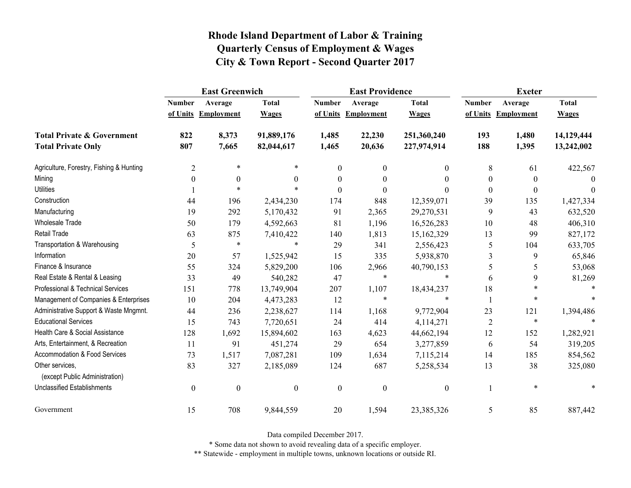|                                                   | <b>East Greenwich</b> |                     |                  |                  | <b>East Providence</b> |                  | <b>Exeter</b>    |                     |              |
|---------------------------------------------------|-----------------------|---------------------|------------------|------------------|------------------------|------------------|------------------|---------------------|--------------|
|                                                   | <b>Number</b>         | Average             | <b>Total</b>     | <b>Number</b>    | Average                | <b>Total</b>     | <b>Number</b>    | Average             | <b>Total</b> |
|                                                   |                       | of Units Employment | <b>Wages</b>     |                  | of Units Employment    | <b>Wages</b>     |                  | of Units Employment | <b>Wages</b> |
| <b>Total Private &amp; Government</b>             | 822                   | 8,373               | 91,889,176       | 1,485            | 22,230                 | 251,360,240      | 193              | 1,480               | 14,129,444   |
| <b>Total Private Only</b>                         | 807                   | 7,665               | 82,044,617       | 1,465            | 20,636                 | 227,974,914      | 188              | 1,395               | 13,242,002   |
| Agriculture, Forestry, Fishing & Hunting          | $\overline{2}$        | $\ast$              | $\ast$           | $\mathbf{0}$     | $\mathbf{0}$           | 0                | 8                | 61                  | 422,567      |
| Mining                                            | $\theta$              | $\theta$            | $\theta$         | $\theta$         | $\theta$               | 0                | $\mathbf{0}$     | $\bf{0}$            | $\Omega$     |
| <b>Utilities</b>                                  |                       | $\ast$              |                  | $\boldsymbol{0}$ | $\boldsymbol{0}$       | $\Omega$         | $\boldsymbol{0}$ | $\theta$            | $\theta$     |
| Construction                                      | 44                    | 196                 | 2,434,230        | 174              | 848                    | 12,359,071       | 39               | 135                 | 1,427,334    |
| Manufacturing                                     | 19                    | 292                 | 5,170,432        | 91               | 2,365                  | 29,270,531       | 9                | 43                  | 632,520      |
| <b>Wholesale Trade</b>                            | 50                    | 179                 | 4,592,663        | 81               | 1,196                  | 16,526,283       | 10               | 48                  | 406,310      |
| <b>Retail Trade</b>                               | 63                    | 875                 | 7,410,422        | 140              | 1,813                  | 15,162,329       | 13               | 99                  | 827,172      |
| Transportation & Warehousing                      | 5                     | $\ast$              | $\ast$           | 29               | 341                    | 2,556,423        | 5                | 104                 | 633,705      |
| Information                                       | 20                    | 57                  | 1,525,942        | 15               | 335                    | 5,938,870        | 3                | 9                   | 65,846       |
| Finance & Insurance                               | 55                    | 324                 | 5,829,200        | 106              | 2,966                  | 40,790,153       | 5                | 5                   | 53,068       |
| Real Estate & Rental & Leasing                    | 33                    | 49                  | 540,282          | 47               | $\ast$                 | $\ast$           | 6                | 9                   | 81,269       |
| Professional & Technical Services                 | 151                   | 778                 | 13,749,904       | 207              | 1,107                  | 18,434,237       | 18               | $\ast$              |              |
| Management of Companies & Enterprises             | 10                    | 204                 | 4,473,283        | 12               | $\ast$                 | $\ast$           |                  | $\ast$              |              |
| Administrative Support & Waste Mngmnt.            | 44                    | 236                 | 2,238,627        | 114              | 1,168                  | 9,772,904        | 23               | 121                 | 1,394,486    |
| <b>Educational Services</b>                       | 15                    | 743                 | 7,720,651        | 24               | 414                    | 4,114,271        | $\overline{2}$   | $\ast$              |              |
| Health Care & Social Assistance                   | 128                   | 1,692               | 15,894,602       | 163              | 4,623                  | 44,662,194       | 12               | 152                 | 1,282,921    |
| Arts, Entertainment, & Recreation                 | 11                    | 91                  | 451,274          | 29               | 654                    | 3,277,859        | 6                | 54                  | 319,205      |
| Accommodation & Food Services                     | 73                    | 1,517               | 7,087,281        | 109              | 1,634                  | 7,115,214        | 14               | 185                 | 854,562      |
| Other services,<br>(except Public Administration) | 83                    | 327                 | 2,185,089        | 124              | 687                    | 5,258,534        | 13               | 38                  | 325,080      |
| <b>Unclassified Establishments</b>                | $\boldsymbol{0}$      | $\boldsymbol{0}$    | $\boldsymbol{0}$ | $\boldsymbol{0}$ | $\boldsymbol{0}$       | $\boldsymbol{0}$ |                  | $\ast$              |              |
| Government                                        | 15                    | 708                 | 9,844,559        | 20               | 1,594                  | 23,385,326       | 5                | 85                  | 887,442      |

Data compiled December 2017.

\* Some data not shown to avoid revealing data of a specific employer.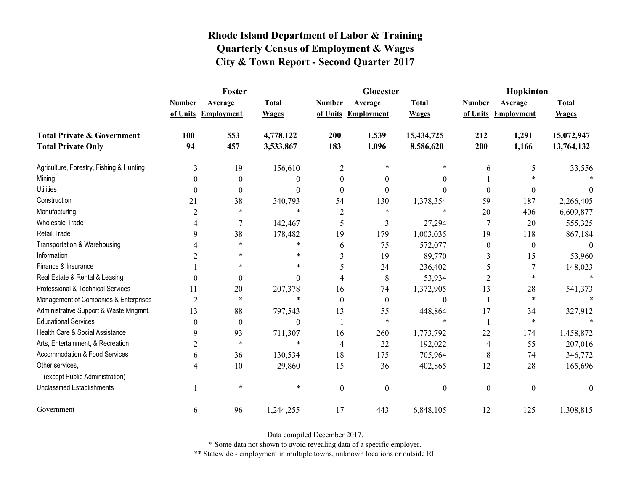|                                          | Foster         |                     |              |                  | Glocester           |                  | Hopkinton        |                     |              |
|------------------------------------------|----------------|---------------------|--------------|------------------|---------------------|------------------|------------------|---------------------|--------------|
|                                          | <b>Number</b>  | Average             | <b>Total</b> | <b>Number</b>    | Average             | <b>Total</b>     | <b>Number</b>    | Average             | <b>Total</b> |
|                                          |                | of Units Employment | <b>Wages</b> |                  | of Units Employment | <b>Wages</b>     |                  | of Units Employment | <b>Wages</b> |
| <b>Total Private &amp; Government</b>    | 100            | 553                 | 4,778,122    | 200              | 1,539               | 15,434,725       | 212              | 1,291               | 15,072,947   |
| <b>Total Private Only</b>                | 94             | 457                 | 3,533,867    | 183              | 1,096               | 8,586,620        | 200              | 1,166               | 13,764,132   |
| Agriculture, Forestry, Fishing & Hunting | 3              | 19                  | 156,610      | $\overline{2}$   | $\ast$              | *                | 6                | 5                   | 33,556       |
| Mining                                   | $\Omega$       | $\theta$            | 0            | $\theta$         | $\theta$            | $\theta$         |                  | $\ast$              |              |
| <b>Utilities</b>                         | $\theta$       | $\boldsymbol{0}$    | $\theta$     | $\theta$         | $\theta$            | $\theta$         | $\boldsymbol{0}$ | $\boldsymbol{0}$    | $\theta$     |
| Construction                             | 21             | 38                  | 340,793      | 54               | 130                 | 1,378,354        | 59               | 187                 | 2,266,405    |
| Manufacturing                            | 2              | $\ast$              | $\ast$       | 2                | $\ast$              | $\ast$           | 20               | 406                 | 6,609,877    |
| <b>Wholesale Trade</b>                   |                | $\overline{7}$      | 142,467      | 5                | 3                   | 27,294           | $\tau$           | 20                  | 555,325      |
| <b>Retail Trade</b>                      | 9              | 38                  | 178,482      | 19               | 179                 | 1,003,035        | 19               | 118                 | 867,184      |
| Transportation & Warehousing             |                | $\ast$              | *            | 6                | 75                  | 572,077          | $\boldsymbol{0}$ | $\boldsymbol{0}$    | $\theta$     |
| Information                              | 2              | $\ast$              | $\ast$       | 3                | 19                  | 89,770           | 3                | 15                  | 53,960       |
| Finance & Insurance                      |                | *                   | $\ast$       | 5                | 24                  | 236,402          | 5                | $\tau$              | 148,023      |
| Real Estate & Rental & Leasing           | $\theta$       | $\boldsymbol{0}$    | $\theta$     | 4                | 8                   | 53,934           | 2                | $\ast$              |              |
| Professional & Technical Services        | 11             | 20                  | 207,378      | 16               | 74                  | 1,372,905        | 13               | 28                  | 541,373      |
| Management of Companies & Enterprises    | $\overline{2}$ | $\ast$              | $\ast$       | $\Omega$         | $\theta$            | $\theta$         | 1                | $\ast$              | $\ast$       |
| Administrative Support & Waste Mngmnt.   | 13             | 88                  | 797,543      | 13               | 55                  | 448,864          | 17               | 34                  | 327,912      |
| <b>Educational Services</b>              | $\theta$       | $\boldsymbol{0}$    | $\theta$     |                  | $\ast$              | *                | $\mathbf{1}$     | $\ast$              |              |
| Health Care & Social Assistance          | 9              | 93                  | 711,307      | 16               | 260                 | 1,773,792        | 22               | 174                 | 1,458,872    |
| Arts, Entertainment, & Recreation        | $\overline{c}$ | $\ast$              | $\ast$       | $\overline{4}$   | 22                  | 192,022          | $\overline{4}$   | 55                  | 207,016      |
| Accommodation & Food Services            | 6              | 36                  | 130,534      | 18               | 175                 | 705,964          | 8                | 74                  | 346,772      |
| Other services,                          | 4              | 10                  | 29,860       | 15               | 36                  | 402,865          | 12               | 28                  | 165,696      |
| (except Public Administration)           |                |                     |              |                  |                     |                  |                  |                     |              |
| <b>Unclassified Establishments</b>       |                | $\ast$              | $\ast$       | $\boldsymbol{0}$ | $\mathbf{0}$        | $\boldsymbol{0}$ | $\boldsymbol{0}$ | $\boldsymbol{0}$    | $\mathbf{0}$ |
| Government                               | 6              | 96                  | 1,244,255    | 17               | 443                 | 6,848,105        | 12               | 125                 | 1,308,815    |

Data compiled December 2017.

\* Some data not shown to avoid revealing data of a specific employer.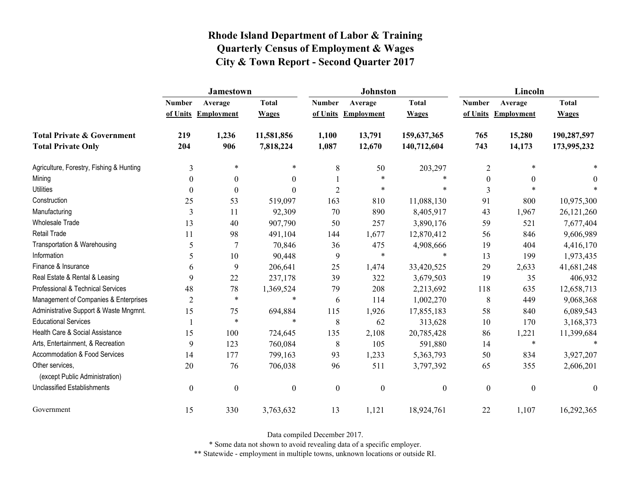|                                                   | <b>Jamestown</b> |                     |                  |                  | <b>Johnston</b>   |                  | Lincoln          |                     |                  |
|---------------------------------------------------|------------------|---------------------|------------------|------------------|-------------------|------------------|------------------|---------------------|------------------|
|                                                   | <b>Number</b>    | Average             | <b>Total</b>     | <b>Number</b>    | Average           | <b>Total</b>     | <b>Number</b>    | Average             | <b>Total</b>     |
|                                                   |                  | of Units Employment | <b>Wages</b>     | of Units         | <b>Employment</b> | <b>Wages</b>     |                  | of Units Employment | <b>Wages</b>     |
| <b>Total Private &amp; Government</b>             | 219              | 1,236               | 11,581,856       | 1,100            | 13,791            | 159,637,365      | 765              | 15,280              | 190,287,597      |
| <b>Total Private Only</b>                         | 204              | 906                 | 7,818,224        | 1,087            | 12,670            | 140,712,604      | 743              | 14,173              | 173,995,232      |
| Agriculture, Forestry, Fishing & Hunting          | 3                | $\ast$              | $\ast$           | $\,8\,$          | 50                | 203,297          | $\overline{2}$   |                     |                  |
| Mining                                            | $\theta$         | $\boldsymbol{0}$    | $\boldsymbol{0}$ |                  | $\ast$            | $\ast$           | $\boldsymbol{0}$ | $\mathbf{0}$        | 0                |
| <b>Utilities</b>                                  | $\theta$         | $\theta$            | $\Omega$         | $\overline{2}$   | $\ast$            | $\ast$           | 3                |                     |                  |
| Construction                                      | 25               | 53                  | 519,097          | 163              | 810               | 11,088,130       | 91               | 800                 | 10,975,300       |
| Manufacturing                                     | $\overline{3}$   | 11                  | 92,309           | 70               | 890               | 8,405,917        | 43               | 1,967               | 26, 121, 260     |
| <b>Wholesale Trade</b>                            | 13               | 40                  | 907,790          | 50               | 257               | 3,890,176        | 59               | 521                 | 7,677,404        |
| Retail Trade                                      | 11               | 98                  | 491,104          | 144              | 1,677             | 12,870,412       | 56               | 846                 | 9,606,989        |
| Transportation & Warehousing                      | 5                | 7                   | 70,846           | 36               | 475               | 4,908,666        | 19               | 404                 | 4,416,170        |
| Information                                       | 5                | 10                  | 90,448           | 9                | $\ast$            | $\ast$           | 13               | 199                 | 1,973,435        |
| Finance & Insurance                               | 6                | 9                   | 206,641          | 25               | 1,474             | 33,420,525       | 29               | 2,633               | 41,681,248       |
| Real Estate & Rental & Leasing                    | 9                | 22                  | 237,178          | 39               | 322               | 3,679,503        | 19               | 35                  | 406,932          |
| Professional & Technical Services                 | 48               | 78                  | 1,369,524        | 79               | 208               | 2,213,692        | 118              | 635                 | 12,658,713       |
| Management of Companies & Enterprises             | $\overline{2}$   | $\ast$              | $\ast$           | 6                | 114               | 1,002,270        | 8                | 449                 | 9,068,368        |
| Administrative Support & Waste Mngmnt.            | 15               | 75                  | 694,884          | 115              | 1,926             | 17,855,183       | 58               | 840                 | 6,089,543        |
| <b>Educational Services</b>                       |                  | $\ast$              | $\ast$           | 8                | 62                | 313,628          | 10               | 170                 | 3,168,373        |
| Health Care & Social Assistance                   | 15               | 100                 | 724,645          | 135              | 2,108             | 20,785,428       | 86               | 1,221               | 11,399,684       |
| Arts, Entertainment, & Recreation                 | 9                | 123                 | 760,084          | $\,8\,$          | 105               | 591,880          | 14               | $\ast$              | $\ast$           |
| <b>Accommodation &amp; Food Services</b>          | 14               | 177                 | 799,163          | 93               | 1,233             | 5,363,793        | 50               | 834                 | 3,927,207        |
| Other services,<br>(except Public Administration) | 20               | 76                  | 706,038          | 96               | 511               | 3,797,392        | 65               | 355                 | 2,606,201        |
| <b>Unclassified Establishments</b>                | $\boldsymbol{0}$ | $\boldsymbol{0}$    | $\boldsymbol{0}$ | $\boldsymbol{0}$ | $\boldsymbol{0}$  | $\boldsymbol{0}$ | $\boldsymbol{0}$ | $\boldsymbol{0}$    | $\boldsymbol{0}$ |
| Government                                        | 15               | 330                 | 3,763,632        | 13               | 1,121             | 18,924,761       | 22               | 1,107               | 16,292,365       |

Data compiled December 2017.

\* Some data not shown to avoid revealing data of a specific employer.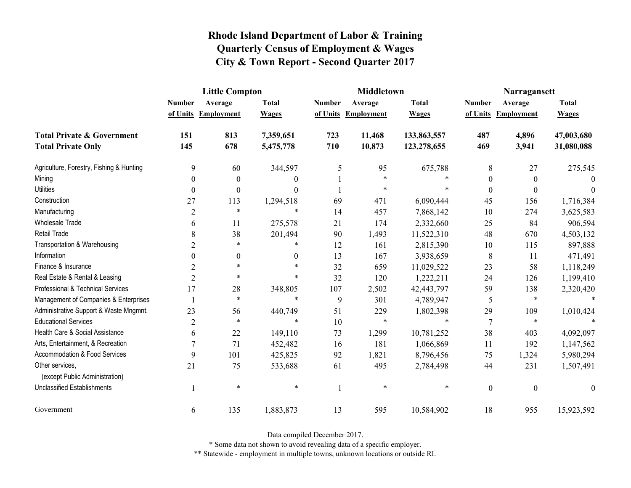|                                                   | <b>Little Compton</b> |                     |              |               | <b>Middletown</b>   |              | Narragansett     |                     |              |
|---------------------------------------------------|-----------------------|---------------------|--------------|---------------|---------------------|--------------|------------------|---------------------|--------------|
|                                                   | <b>Number</b>         | Average             | <b>Total</b> | <b>Number</b> | Average             | <b>Total</b> | <b>Number</b>    | Average             | <b>Total</b> |
|                                                   |                       | of Units Employment | <b>Wages</b> |               | of Units Employment | <b>Wages</b> |                  | of Units Employment | <b>Wages</b> |
| <b>Total Private &amp; Government</b>             | 151                   | 813                 | 7,359,651    | 723           | 11,468              | 133,863,557  | 487              | 4,896               | 47,003,680   |
| <b>Total Private Only</b>                         | 145                   | 678                 | 5,475,778    | 710           | 10,873              | 123,278,655  | 469              | 3,941               | 31,080,088   |
| Agriculture, Forestry, Fishing & Hunting          | 9                     | 60                  | 344,597      | 5             | 95                  | 675,788      | 8                | 27                  | 275,545      |
| Mining                                            | $\theta$              | $\theta$            | $\theta$     |               | $\ast$              | *            | $\boldsymbol{0}$ | $\theta$            | $\Omega$     |
| <b>Utilities</b>                                  | $\boldsymbol{0}$      | $\boldsymbol{0}$    | $\theta$     |               | $\ast$              |              | $\boldsymbol{0}$ | $\theta$            | $\theta$     |
| Construction                                      | 27                    | 113                 | 1,294,518    | 69            | 471                 | 6,090,444    | 45               | 156                 | 1,716,384    |
| Manufacturing                                     | $\overline{2}$        | $\ast$              | $\ast$       | 14            | 457                 | 7,868,142    | 10               | 274                 | 3,625,583    |
| Wholesale Trade                                   | 6                     | 11                  | 275,578      | 21            | 174                 | 2,332,660    | 25               | 84                  | 906,594      |
| Retail Trade                                      | 8                     | 38                  | 201,494      | 90            | 1,493               | 11,522,310   | 48               | 670                 | 4,503,132    |
| Transportation & Warehousing                      | $\overline{2}$        | $\ast$              | *            | 12            | 161                 | 2,815,390    | 10               | 115                 | 897,888      |
| Information                                       | $\overline{0}$        | $\boldsymbol{0}$    | $\theta$     | 13            | 167                 | 3,938,659    | $8\,$            | 11                  | 471,491      |
| Finance & Insurance                               | $\overline{2}$        | $\ast$              | $\ast$       | 32            | 659                 | 11,029,522   | 23               | 58                  | 1,118,249    |
| Real Estate & Rental & Leasing                    | $\overline{2}$        | $\ast$              | $\ast$       | 32            | 120                 | 1,222,211    | 24               | 126                 | 1,199,410    |
| Professional & Technical Services                 | 17                    | 28                  | 348,805      | 107           | 2,502               | 42,443,797   | 59               | 138                 | 2,320,420    |
| Management of Companies & Enterprises             |                       | $\ast$              | *            | 9             | 301                 | 4,789,947    | 5                | $\ast$              |              |
| Administrative Support & Waste Mngmnt.            | 23                    | 56                  | 440,749      | 51            | 229                 | 1,802,398    | 29               | 109                 | 1,010,424    |
| <b>Educational Services</b>                       | $\overline{c}$        | $\ast$              | $\ast$       | 10            | $\ast$              | $\ast$       | 7                | $\ast$              |              |
| Health Care & Social Assistance                   | 6                     | 22                  | 149,110      | 73            | 1,299               | 10,781,252   | 38               | 403                 | 4,092,097    |
| Arts, Entertainment, & Recreation                 | 7                     | 71                  | 452,482      | 16            | 181                 | 1,066,869    | 11               | 192                 | 1,147,562    |
| <b>Accommodation &amp; Food Services</b>          | 9                     | 101                 | 425,825      | 92            | 1,821               | 8,796,456    | 75               | 1,324               | 5,980,294    |
| Other services,<br>(except Public Administration) | 21                    | 75                  | 533,688      | 61            | 495                 | 2,784,498    | 44               | 231                 | 1,507,491    |
| <b>Unclassified Establishments</b>                |                       | $\ast$              | $\ast$       |               | $\ast$              | $\ast$       | $\boldsymbol{0}$ | $\boldsymbol{0}$    | $\theta$     |
| Government                                        | 6                     | 135                 | 1,883,873    | 13            | 595                 | 10,584,902   | 18               | 955                 | 15,923,592   |

Data compiled December 2017.

\* Some data not shown to avoid revealing data of a specific employer.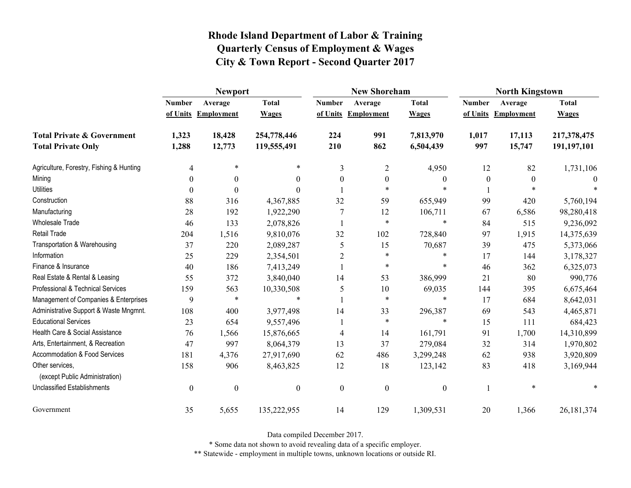|                                                   | <b>Newport</b>   |                     |                  |                  | <b>New Shoreham</b> |                  | <b>North Kingstown</b> |                   |              |
|---------------------------------------------------|------------------|---------------------|------------------|------------------|---------------------|------------------|------------------------|-------------------|--------------|
|                                                   | <b>Number</b>    | Average             | <b>Total</b>     | <b>Number</b>    | Average             | <b>Total</b>     | <b>Number</b>          | Average           | <b>Total</b> |
|                                                   |                  | of Units Employment | <b>Wages</b>     | of Units         | Employment          | <b>Wages</b>     | of Units               | <b>Employment</b> | <b>Wages</b> |
| <b>Total Private &amp; Government</b>             | 1,323            | 18,428              | 254,778,446      | 224              | 991                 | 7,813,970        | 1,017                  | 17,113            | 217,378,475  |
| <b>Total Private Only</b>                         | 1,288            | 12,773              | 119,555,491      | 210              | 862                 | 6,504,439        | 997                    | 15,747            | 191,197,101  |
| Agriculture, Forestry, Fishing & Hunting          | 4                | $\ast$              | $\ast$           | 3                | $\overline{2}$      | 4,950            | 12                     | 82                | 1,731,106    |
| Mining                                            | 0                | $\theta$            | $\theta$         | $\theta$         | $\theta$            | $\boldsymbol{0}$ | $\theta$               | $\theta$          |              |
| <b>Utilities</b>                                  | 0                | $\theta$            | 0                |                  | $\ast$              | $\ast$           |                        | $\ast$            |              |
| Construction                                      | 88               | 316                 | 4,367,885        | 32               | 59                  | 655,949          | 99                     | 420               | 5,760,194    |
| Manufacturing                                     | 28               | 192                 | 1,922,290        |                  | 12                  | 106,711          | 67                     | 6,586             | 98,280,418   |
| <b>Wholesale Trade</b>                            | 46               | 133                 | 2,078,826        |                  | $\ast$              | $\ast$           | 84                     | 515               | 9,236,092    |
| Retail Trade                                      | 204              | 1,516               | 9,810,076        | 32               | 102                 | 728,840          | 97                     | 1,915             | 14,375,639   |
| Transportation & Warehousing                      | 37               | 220                 | 2,089,287        | 5                | 15                  | 70,687           | 39                     | 475               | 5,373,066    |
| Information                                       | 25               | 229                 | 2,354,501        | $\overline{2}$   | $\ast$              | $\ast$           | 17                     | 144               | 3,178,327    |
| Finance & Insurance                               | 40               | 186                 | 7,413,249        |                  | $\ast$              | $\ast$           | 46                     | 362               | 6,325,073    |
| Real Estate & Rental & Leasing                    | 55               | 372                 | 3,840,040        | 14               | 53                  | 386,999          | 21                     | 80                | 990,776      |
| Professional & Technical Services                 | 159              | 563                 | 10,330,508       | 5                | 10                  | 69,035           | 144                    | 395               | 6,675,464    |
| Management of Companies & Enterprises             | 9                | $\ast$              | $\ast$           |                  | $\ast$              | $\ast$           | 17                     | 684               | 8,642,031    |
| Administrative Support & Waste Mngmnt.            | 108              | 400                 | 3,977,498        | 14               | 33                  | 296,387          | 69                     | 543               | 4,465,871    |
| <b>Educational Services</b>                       | 23               | 654                 | 9,557,496        |                  | $\ast$              | $\ast$           | 15                     | 111               | 684,423      |
| Health Care & Social Assistance                   | 76               | 1,566               | 15,876,665       | 4                | 14                  | 161,791          | 91                     | 1,700             | 14,310,899   |
| Arts, Entertainment, & Recreation                 | 47               | 997                 | 8,064,379        | 13               | 37                  | 279,084          | 32                     | 314               | 1,970,802    |
| Accommodation & Food Services                     | 181              | 4,376               | 27,917,690       | 62               | 486                 | 3,299,248        | 62                     | 938               | 3,920,809    |
| Other services,<br>(except Public Administration) | 158              | 906                 | 8,463,825        | 12               | 18                  | 123,142          | 83                     | 418               | 3,169,944    |
| <b>Unclassified Establishments</b>                | $\boldsymbol{0}$ | $\boldsymbol{0}$    | $\boldsymbol{0}$ | $\boldsymbol{0}$ | $\boldsymbol{0}$    | $\boldsymbol{0}$ |                        | $\ast$            | $\ast$       |
| Government                                        | 35               | 5,655               | 135,222,955      | 14               | 129                 | 1,309,531        | 20                     | 1,366             | 26, 181, 374 |

Data compiled December 2017.

\* Some data not shown to avoid revealing data of a specific employer.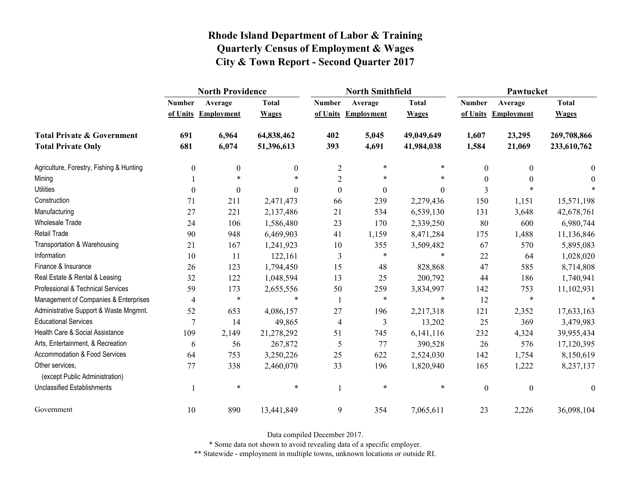|                                                   | <b>North Providence</b> |                     |                  |                  | <b>North Smithfield</b> |                | Pawtucket        |                   |                  |
|---------------------------------------------------|-------------------------|---------------------|------------------|------------------|-------------------------|----------------|------------------|-------------------|------------------|
|                                                   | <b>Number</b>           | Average             | <b>Total</b>     | <b>Number</b>    | Average                 | <b>Total</b>   | <b>Number</b>    | Average           | <b>Total</b>     |
|                                                   |                         | of Units Employment | <b>Wages</b>     |                  | of Units Employment     | <b>Wages</b>   | of Units         | <b>Employment</b> | <b>Wages</b>     |
| <b>Total Private &amp; Government</b>             | 691                     | 6,964               | 64,838,462       | 402              | 5,045                   | 49,049,649     | 1,607            | 23,295            | 269,708,866      |
| <b>Total Private Only</b>                         | 681                     | 6,074               | 51,396,613       | 393              | 4,691                   | 41,984,038     | 1,584            | 21,069            | 233,610,762      |
| Agriculture, Forestry, Fishing & Hunting          | 0                       | $\boldsymbol{0}$    | $\boldsymbol{0}$ | $\overline{2}$   | $\ast$                  | *              | $\theta$         | $\theta$          | $\bf{0}$         |
| Mining                                            |                         | $\ast$              |                  | $\overline{2}$   | *                       | $\ast$         | $\Omega$         | $\theta$          | $\theta$         |
| <b>Utilities</b>                                  | $\theta$                | $\theta$            | $\theta$         | $\boldsymbol{0}$ | $\boldsymbol{0}$        | $\overline{0}$ | 3                |                   |                  |
| Construction                                      | 71                      | 211                 | 2,471,473        | 66               | 239                     | 2,279,436      | 150              | 1,151             | 15,571,198       |
| Manufacturing                                     | 27                      | 221                 | 2,137,486        | 21               | 534                     | 6,539,130      | 131              | 3,648             | 42,678,761       |
| <b>Wholesale Trade</b>                            | 24                      | 106                 | 1,586,480        | 23               | 170                     | 2,339,250      | 80               | 600               | 6,980,744        |
| <b>Retail Trade</b>                               | 90                      | 948                 | 6,469,903        | 41               | 1,159                   | 8,471,284      | 175              | 1,488             | 11,136,846       |
| Transportation & Warehousing                      | 21                      | 167                 | 1,241,923        | $10\,$           | 355                     | 3,509,482      | 67               | 570               | 5,895,083        |
| Information                                       | 10                      | 11                  | 122,161          | 3                | $\ast$                  | $\ast$         | 22               | 64                | 1,028,020        |
| Finance & Insurance                               | 26                      | 123                 | 1,794,450        | 15               | 48                      | 828,868        | 47               | 585               | 8,714,808        |
| Real Estate & Rental & Leasing                    | 32                      | 122                 | 1,048,594        | 13               | 25                      | 200,792        | 44               | 186               | 1,740,941        |
| Professional & Technical Services                 | 59                      | 173                 | 2,655,556        | 50               | 259                     | 3,834,997      | 142              | 753               | 11,102,931       |
| Management of Companies & Enterprises             | $\overline{4}$          | $\ast$              | $\ast$           |                  | $\ast$                  | $\ast$         | 12               | $\ast$            |                  |
| Administrative Support & Waste Mngmnt.            | 52                      | 653                 | 4,086,157        | 27               | 196                     | 2,217,318      | 121              | 2,352             | 17,633,163       |
| <b>Educational Services</b>                       | 7                       | 14                  | 49,865           | $\overline{4}$   | 3                       | 13,202         | 25               | 369               | 3,479,983        |
| Health Care & Social Assistance                   | 109                     | 2,149               | 21,278,292       | 51               | 745                     | 6,141,116      | 232              | 4,324             | 39,955,434       |
| Arts, Entertainment, & Recreation                 | 6                       | 56                  | 267,872          | 5                | 77                      | 390,528        | 26               | 576               | 17,120,395       |
| <b>Accommodation &amp; Food Services</b>          | 64                      | 753                 | 3,250,226        | 25               | 622                     | 2,524,030      | 142              | 1,754             | 8,150,619        |
| Other services,<br>(except Public Administration) | 77                      | 338                 | 2,460,070        | 33               | 196                     | 1,820,940      | 165              | 1,222             | 8,237,137        |
| <b>Unclassified Establishments</b>                |                         | $\ast$              | $\ast$           | $\mathbf{1}$     | $\ast$                  | $\ast$         | $\boldsymbol{0}$ | $\boldsymbol{0}$  | $\boldsymbol{0}$ |
| Government                                        | 10                      | 890                 | 13,441,849       | 9                | 354                     | 7,065,611      | 23               | 2,226             | 36,098,104       |

Data compiled December 2017.

\* Some data not shown to avoid revealing data of a specific employer.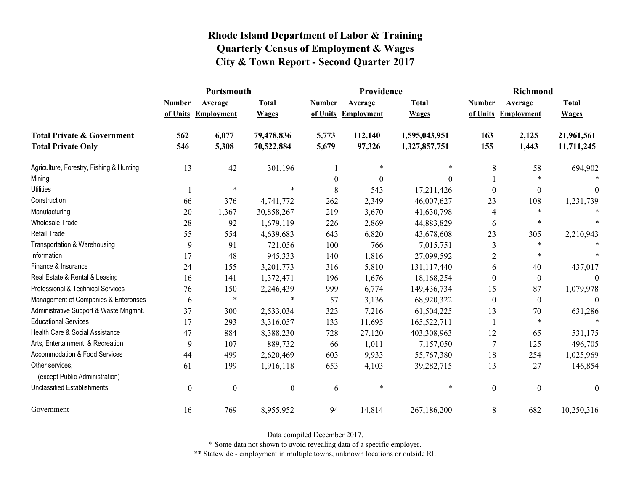|                                                   | Portsmouth       |                     |                  |               | Providence          |               | <b>Richmond</b>  |                     |                  |
|---------------------------------------------------|------------------|---------------------|------------------|---------------|---------------------|---------------|------------------|---------------------|------------------|
|                                                   | <b>Number</b>    | Average             | <b>Total</b>     | <b>Number</b> | Average             | <b>Total</b>  | <b>Number</b>    | Average             | <b>Total</b>     |
|                                                   |                  | of Units Employment | <b>Wages</b>     |               | of Units Employment | <b>Wages</b>  |                  | of Units Employment | <b>Wages</b>     |
| <b>Total Private &amp; Government</b>             | 562              | 6,077               | 79,478,836       | 5,773         | 112,140             | 1,595,043,951 | 163              | 2,125               | 21,961,561       |
| <b>Total Private Only</b>                         | 546              | 5,308               | 70,522,884       | 5,679         | 97,326              | 1,327,857,751 | 155              | 1,443               | 11,711,245       |
| Agriculture, Forestry, Fishing & Hunting          | 13               | 42                  | 301,196          |               | *                   | $\ast$        | 8                | 58                  | 694,902          |
| Mining                                            |                  |                     |                  | $\theta$      | $\theta$            | $\Omega$      |                  | $\ast$              | $\ast$           |
| <b>Utilities</b>                                  |                  | $\ast$              | $\ast$           | 8             | 543                 | 17,211,426    | $\theta$         | $\boldsymbol{0}$    | $\theta$         |
| Construction                                      | 66               | 376                 | 4,741,772        | 262           | 2,349               | 46,007,627    | 23               | 108                 | 1,231,739        |
| Manufacturing                                     | 20               | 1,367               | 30,858,267       | 219           | 3,670               | 41,630,798    | 4                | $\ast$              |                  |
| Wholesale Trade                                   | 28               | 92                  | 1,679,119        | 226           | 2,869               | 44,883,829    | 6                | $\ast$              |                  |
| <b>Retail Trade</b>                               | 55               | 554                 | 4,639,683        | 643           | 6,820               | 43,678,608    | 23               | 305                 | 2,210,943        |
| Transportation & Warehousing                      | 9                | 91                  | 721,056          | 100           | 766                 | 7,015,751     | 3                | *                   |                  |
| Information                                       | 17               | 48                  | 945,333          | 140           | 1,816               | 27,099,592    | $\overline{2}$   | $\ast$              |                  |
| Finance & Insurance                               | 24               | 155                 | 3,201,773        | 316           | 5,810               | 131,117,440   | 6                | 40                  | 437,017          |
| Real Estate & Rental & Leasing                    | 16               | 141                 | 1,372,471        | 196           | 1,676               | 18,168,254    | $\theta$         | $\boldsymbol{0}$    |                  |
| Professional & Technical Services                 | 76               | 150                 | 2,246,439        | 999           | 6,774               | 149,436,734   | 15               | 87                  | 1,079,978        |
| Management of Companies & Enterprises             | 6                | $\ast$              | $\ast$           | 57            | 3,136               | 68,920,322    | $\theta$         | $\mathbf{0}$        | $\Omega$         |
| Administrative Support & Waste Mngmnt.            | 37               | 300                 | 2,533,034        | 323           | 7,216               | 61,504,225    | 13               | 70                  | 631,286          |
| <b>Educational Services</b>                       | 17               | 293                 | 3,316,057        | 133           | 11,695              | 165,522,711   |                  | $\ast$              | $\ast$           |
| Health Care & Social Assistance                   | 47               | 884                 | 8,388,230        | 728           | 27,120              | 403,308,963   | 12               | 65                  | 531,175          |
| Arts, Entertainment, & Recreation                 | 9                | 107                 | 889,732          | 66            | 1,011               | 7,157,050     | $\overline{7}$   | 125                 | 496,705          |
| Accommodation & Food Services                     | 44               | 499                 | 2,620,469        | 603           | 9,933               | 55,767,380    | 18               | 254                 | 1,025,969        |
| Other services,<br>(except Public Administration) | 61               | 199                 | 1,916,118        | 653           | 4,103               | 39,282,715    | 13               | 27                  | 146,854          |
| <b>Unclassified Establishments</b>                | $\boldsymbol{0}$ | $\boldsymbol{0}$    | $\boldsymbol{0}$ | 6             | $\ast$              | $\ast$        | $\boldsymbol{0}$ | $\mathbf{0}$        | $\boldsymbol{0}$ |
| Government                                        | 16               | 769                 | 8,955,952        | 94            | 14,814              | 267,186,200   | 8                | 682                 | 10,250,316       |

Data compiled December 2017.

\* Some data not shown to avoid revealing data of a specific employer.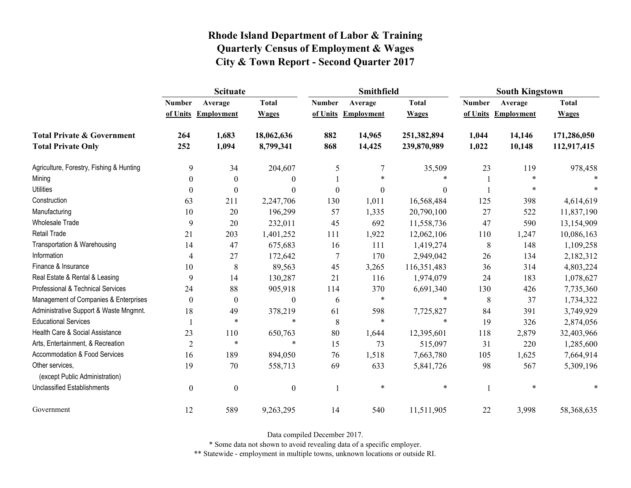|                                                   | <b>Scituate</b>  |                     |                  |                  | <b>Smithfield</b> |                  | <b>South Kingstown</b> |                     |              |
|---------------------------------------------------|------------------|---------------------|------------------|------------------|-------------------|------------------|------------------------|---------------------|--------------|
|                                                   | <b>Number</b>    | Average             | <b>Total</b>     | <b>Number</b>    | Average           | <b>Total</b>     | <b>Number</b>          | Average             | <b>Total</b> |
|                                                   |                  | of Units Employment | <b>Wages</b>     | of Units         | Employment        | <b>Wages</b>     |                        | of Units Employment | <b>Wages</b> |
| <b>Total Private &amp; Government</b>             | 264              | 1,683               | 18,062,636       | 882              | 14,965            | 251,382,894      | 1,044                  | 14,146              | 171,286,050  |
| <b>Total Private Only</b>                         | 252              | 1,094               | 8,799,341        | 868              | 14,425            | 239,870,989      | 1,022                  | 10,148              | 112,917,415  |
| Agriculture, Forestry, Fishing & Hunting          | 9                | 34                  | 204,607          | 5                | 7                 | 35,509           | 23                     | 119                 | 978,458      |
| Mining                                            | $\theta$         | $\theta$            | $\boldsymbol{0}$ |                  | $\ast$            | $\ast$           |                        | *                   |              |
| <b>Utilities</b>                                  | $\theta$         | $\boldsymbol{0}$    | $\boldsymbol{0}$ | $\boldsymbol{0}$ | $\boldsymbol{0}$  | $\boldsymbol{0}$ |                        | *                   |              |
| Construction                                      | 63               | 211                 | 2,247,706        | 130              | 1,011             | 16,568,484       | 125                    | 398                 | 4,614,619    |
| Manufacturing                                     | 10               | 20                  | 196,299          | 57               | 1,335             | 20,790,100       | 27                     | 522                 | 11,837,190   |
| Wholesale Trade                                   | 9                | 20                  | 232,011          | 45               | 692               | 11,558,736       | 47                     | 590                 | 13,154,909   |
| <b>Retail Trade</b>                               | 21               | 203                 | 1,401,252        | 111              | 1,922             | 12,062,106       | 110                    | 1,247               | 10,086,163   |
| Transportation & Warehousing                      | 14               | 47                  | 675,683          | 16               | 111               | 1,419,274        | $8\,$                  | 148                 | 1,109,258    |
| Information                                       | 4                | 27                  | 172,642          | $\overline{7}$   | 170               | 2,949,042        | 26                     | 134                 | 2,182,312    |
| Finance & Insurance                               | 10               | 8                   | 89,563           | 45               | 3,265             | 116,351,483      | 36                     | 314                 | 4,803,224    |
| Real Estate & Rental & Leasing                    | 9                | 14                  | 130,287          | 21               | 116               | 1,974,079        | 24                     | 183                 | 1,078,627    |
| Professional & Technical Services                 | 24               | 88                  | 905,918          | 114              | 370               | 6,691,340        | 130                    | 426                 | 7,735,360    |
| Management of Companies & Enterprises             | $\Omega$         | $\theta$            | $\boldsymbol{0}$ | 6                | $\ast$            | $\ast$           | 8                      | 37                  | 1,734,322    |
| Administrative Support & Waste Mngmnt.            | 18               | 49                  | 378,219          | 61               | 598               | 7,725,827        | 84                     | 391                 | 3,749,929    |
| <b>Educational Services</b>                       |                  | *                   | $\ast$           | 8                | $\ast$            | $\ast$           | 19                     | 326                 | 2,874,056    |
| Health Care & Social Assistance                   | 23               | 110                 | 650,763          | 80               | 1,644             | 12,395,601       | 118                    | 2,879               | 32,403,966   |
| Arts, Entertainment, & Recreation                 | $\overline{2}$   | $\ast$              | $\ast$           | 15               | 73                | 515,097          | 31                     | 220                 | 1,285,600    |
| Accommodation & Food Services                     | 16               | 189                 | 894,050          | 76               | 1,518             | 7,663,780        | 105                    | 1,625               | 7,664,914    |
| Other services,<br>(except Public Administration) | 19               | 70                  | 558,713          | 69               | 633               | 5,841,726        | 98                     | 567                 | 5,309,196    |
| <b>Unclassified Establishments</b>                | $\boldsymbol{0}$ | $\boldsymbol{0}$    | $\boldsymbol{0}$ |                  | $\ast$            | $\ast$           |                        | $\ast$              |              |
| Government                                        | 12               | 589                 | 9,263,295        | 14               | 540               | 11,511,905       | 22                     | 3,998               | 58,368,635   |

Data compiled December 2017.

\* Some data not shown to avoid revealing data of a specific employer.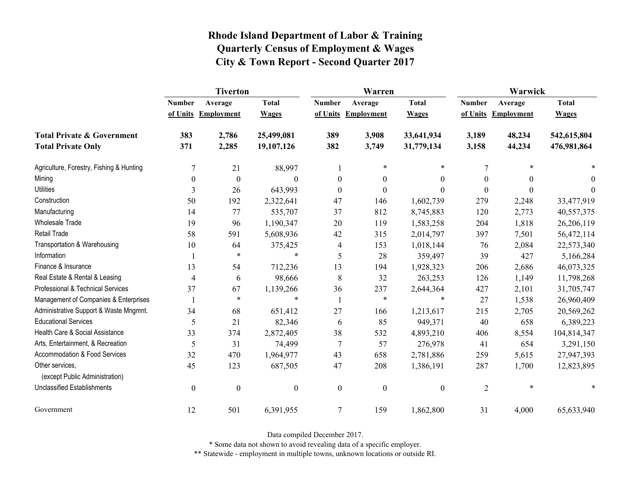|                                                   | <b>Tiverton</b>  |                     |                  |                  | Warren              |                  | Warwick        |                     |              |
|---------------------------------------------------|------------------|---------------------|------------------|------------------|---------------------|------------------|----------------|---------------------|--------------|
|                                                   | <b>Number</b>    | Average             | <b>Total</b>     | <b>Number</b>    | Average             | <b>Total</b>     | <b>Number</b>  | Average             | <b>Total</b> |
|                                                   |                  | of Units Employment | <b>Wages</b>     |                  | of Units Employment | <b>Wages</b>     |                | of Units Employment | <b>Wages</b> |
| <b>Total Private &amp; Government</b>             | 383              | 2,786               | 25,499,081       | 389              | 3,908               | 33,641,934       | 3,189          | 48,234              | 542,615,804  |
| <b>Total Private Only</b>                         | 371              | 2,285               | 19,107,126       | 382              | 3,749               | 31,779,134       | 3,158          | 44,234              | 476,981,864  |
| Agriculture, Forestry, Fishing & Hunting          | $\overline{7}$   | 21                  | 88,997           |                  | $\ast$              | $\ast$           | 7              | $\ast$              |              |
| Mining                                            | $\theta$         | $\boldsymbol{0}$    | $\Omega$         | $\theta$         | $\theta$            | $\theta$         | $\Omega$       | $\theta$            | $\theta$     |
| <b>Utilities</b>                                  | 3                | 26                  | 643,993          | $\boldsymbol{0}$ | $\boldsymbol{0}$    | $\boldsymbol{0}$ | $\Omega$       | $\theta$            | $\theta$     |
| Construction                                      | 50               | 192                 | 2,322,641        | 47               | 146                 | 1,602,739        | 279            | 2,248               | 33,477,919   |
| Manufacturing                                     | 14               | 77                  | 535,707          | 37               | 812                 | 8,745,883        | 120            | 2,773               | 40,557,375   |
| <b>Wholesale Trade</b>                            | 19               | 96                  | 1,190,347        | 20               | 119                 | 1,583,258        | 204            | 1,818               | 26,206,119   |
| <b>Retail Trade</b>                               | 58               | 591                 | 5,608,936        | 42               | 315                 | 2,014,797        | 397            | 7,501               | 56,472,114   |
| Transportation & Warehousing                      | 10               | 64                  | 375,425          | 4                | 153                 | 1,018,144        | 76             | 2,084               | 22,573,340   |
| Information                                       |                  | $\ast$              | $\ast$           | 5                | 28                  | 359,497          | 39             | 427                 | 5,166,284    |
| Finance & Insurance                               | 13               | 54                  | 712,236          | 13               | 194                 | 1,928,323        | 206            | 2,686               | 46,073,325   |
| Real Estate & Rental & Leasing                    | 4                | 6                   | 98,666           | 8                | 32                  | 263,253          | 126            | 1,149               | 11,798,268   |
| Professional & Technical Services                 | 37               | 67                  | 1,139,266        | 36               | 237                 | 2,644,364        | 427            | 2,101               | 31,705,747   |
| Management of Companies & Enterprises             |                  | $\ast$              | $\ast$           |                  | $\ast$              | *                | 27             | 1,538               | 26,960,409   |
| Administrative Support & Waste Mngmnt.            | 34               | 68                  | 651,412          | 27               | 166                 | 1,213,617        | 215            | 2,705               | 20,569,262   |
| <b>Educational Services</b>                       | 5                | 21                  | 82,346           | 6                | 85                  | 949,371          | 40             | 658                 | 6,389,223    |
| Health Care & Social Assistance                   | 33               | 374                 | 2,872,405        | 38               | 532                 | 4,893,210        | 406            | 8,554               | 104,814,347  |
| Arts, Entertainment, & Recreation                 | 5                | 31                  | 74,499           | $\tau$           | 57                  | 276,978          | 41             | 654                 | 3,291,150    |
| Accommodation & Food Services                     | 32               | 470                 | 1,964,977        | 43               | 658                 | 2,781,886        | 259            | 5,615               | 27,947,393   |
| Other services,<br>(except Public Administration) | 45               | 123                 | 687,505          | 47               | 208                 | 1,386,191        | 287            | 1,700               | 12,823,895   |
| <b>Unclassified Establishments</b>                | $\boldsymbol{0}$ | $\boldsymbol{0}$    | $\boldsymbol{0}$ | $\boldsymbol{0}$ | $\boldsymbol{0}$    | $\boldsymbol{0}$ | $\overline{2}$ | $\ast$              | $\ast$       |
| Government                                        | 12               | 501                 | 6,391,955        | 7                | 159                 | 1,862,800        | 31             | 4,000               | 65,633,940   |

Data compiled December 2017.

\* Some data not shown to avoid revealing data of a specific employer.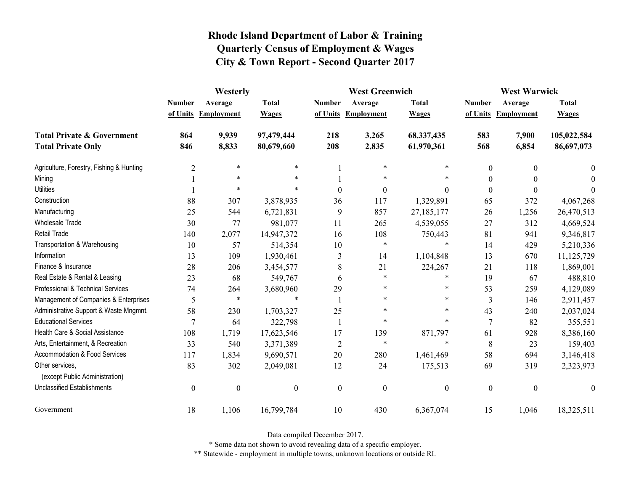|                                                   | Westerly         |                     |                  | <b>West Greenwich</b> |                     |                  | <b>West Warwick</b> |                     |              |
|---------------------------------------------------|------------------|---------------------|------------------|-----------------------|---------------------|------------------|---------------------|---------------------|--------------|
|                                                   | <b>Number</b>    | Average             | <b>Total</b>     | <b>Number</b>         | Average             | <b>Total</b>     | <b>Number</b>       | Average             | <b>Total</b> |
|                                                   |                  | of Units Employment | <b>Wages</b>     |                       | of Units Employment | <b>Wages</b>     |                     | of Units Employment | <b>Wages</b> |
| <b>Total Private &amp; Government</b>             | 864              | 9,939               | 97,479,444       | 218                   | 3,265               | 68,337,435       | 583                 | 7,900               | 105,022,584  |
| <b>Total Private Only</b>                         | 846              | 8,833               | 80,679,660       | 208                   | 2,835               | 61,970,361       | 568                 | 6,854               | 86,697,073   |
| Agriculture, Forestry, Fishing & Hunting          | $\overline{c}$   | $\ast$              | $\ast$           |                       | $\ast$              | $\ast$           | $\boldsymbol{0}$    | $\theta$            | $\theta$     |
| Mining                                            |                  | $\ast$              | $\ast$           |                       | $\ast$              | *                | $\boldsymbol{0}$    |                     | $\Omega$     |
| <b>Utilities</b>                                  |                  | $\ast$              | $\ast$           | $\boldsymbol{0}$      | $\boldsymbol{0}$    | $\theta$         | $\boldsymbol{0}$    | $\Omega$            | $\theta$     |
| Construction                                      | 88               | 307                 | 3,878,935        | 36                    | 117                 | 1,329,891        | 65                  | 372                 | 4,067,268    |
| Manufacturing                                     | 25               | 544                 | 6,721,831        | 9                     | 857                 | 27,185,177       | 26                  | 1,256               | 26,470,513   |
| Wholesale Trade                                   | 30               | 77                  | 981,077          | 11                    | 265                 | 4,539,055        | 27                  | 312                 | 4,669,524    |
| <b>Retail Trade</b>                               | 140              | 2,077               | 14,947,372       | 16                    | 108                 | 750,443          | 81                  | 941                 | 9,346,817    |
| Transportation & Warehousing                      | 10               | 57                  | 514,354          | 10                    | $\ast$              | $\ast$           | 14                  | 429                 | 5,210,336    |
| Information                                       | 13               | 109                 | 1,930,461        | 3                     | 14                  | 1,104,848        | 13                  | 670                 | 11,125,729   |
| Finance & Insurance                               | 28               | 206                 | 3,454,577        | 8                     | 21                  | 224,267          | 21                  | 118                 | 1,869,001    |
| Real Estate & Rental & Leasing                    | 23               | 68                  | 549,767          | 6                     | $\ast$              | $\ast$           | 19                  | 67                  | 488,810      |
| Professional & Technical Services                 | 74               | 264                 | 3,680,960        | 29                    | *                   | *                | 53                  | 259                 | 4,129,089    |
| Management of Companies & Enterprises             | 5                | $\ast$              | $\ast$           |                       | *                   | *                | 3                   | 146                 | 2,911,457    |
| Administrative Support & Waste Mngmnt.            | 58               | 230                 | 1,703,327        | 25                    | $\ast$              | *                | 43                  | 240                 | 2,037,024    |
| <b>Educational Services</b>                       | $\tau$           | 64                  | 322,798          | $\mathbf{1}$          | $\ast$              | $\ast$           | $\overline{7}$      | 82                  | 355,551      |
| Health Care & Social Assistance                   | 108              | 1,719               | 17,623,546       | 17                    | 139                 | 871,797          | 61                  | 928                 | 8,386,160    |
| Arts, Entertainment, & Recreation                 | 33               | 540                 | 3,371,389        | $\overline{2}$        | $\ast$              | $\ast$           | $\,8\,$             | 23                  | 159,403      |
| <b>Accommodation &amp; Food Services</b>          | 117              | 1,834               | 9,690,571        | 20                    | 280                 | 1,461,469        | 58                  | 694                 | 3,146,418    |
| Other services,<br>(except Public Administration) | 83               | 302                 | 2,049,081        | 12                    | 24                  | 175,513          | 69                  | 319                 | 2,323,973    |
| <b>Unclassified Establishments</b>                | $\boldsymbol{0}$ | $\boldsymbol{0}$    | $\boldsymbol{0}$ | $\boldsymbol{0}$      | $\boldsymbol{0}$    | $\boldsymbol{0}$ | $\boldsymbol{0}$    | $\boldsymbol{0}$    | $\theta$     |
| Government                                        | 18               | 1,106               | 16,799,784       | 10                    | 430                 | 6,367,074        | 15                  | 1,046               | 18,325,511   |

Data compiled December 2017.

\* Some data not shown to avoid revealing data of a specific employer.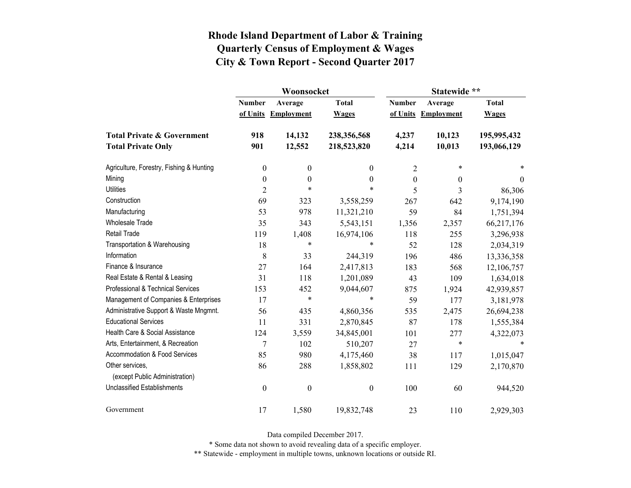|                                                   |                  | Woonsocket        |                  | Statewide **  |                   |              |  |
|---------------------------------------------------|------------------|-------------------|------------------|---------------|-------------------|--------------|--|
|                                                   | <b>Number</b>    | Average           | <b>Total</b>     | <b>Number</b> | Average           | <b>Total</b> |  |
|                                                   | of Units         | <b>Employment</b> | <b>Wages</b>     | of Units      | <b>Employment</b> | <b>Wages</b> |  |
| <b>Total Private &amp; Government</b>             | 918              | 14,132            | 238,356,568      | 4,237         | 10,123            | 195,995,432  |  |
| <b>Total Private Only</b>                         | 901              | 12,552            | 218,523,820      | 4,214         | 10,013            | 193,066,129  |  |
| Agriculture, Forestry, Fishing & Hunting          | $\boldsymbol{0}$ | $\boldsymbol{0}$  | 0                | 2             | $\ast$            |              |  |
| Mining                                            | $\boldsymbol{0}$ | $\boldsymbol{0}$  | $\boldsymbol{0}$ | $\theta$      | 0                 | $\theta$     |  |
| <b>Utilities</b>                                  | $\overline{2}$   | $\ast$            | $\ast$           | 5             | 3                 | 86,306       |  |
| Construction                                      | 69               | 323               | 3,558,259        | 267           | 642               | 9,174,190    |  |
| Manufacturing                                     | 53               | 978               | 11,321,210       | 59            | 84                | 1,751,394    |  |
| <b>Wholesale Trade</b>                            | 35               | 343               | 5,543,151        | 1,356         | 2,357             | 66,217,176   |  |
| Retail Trade                                      | 119              | 1,408             | 16,974,106       | 118           | 255               | 3,296,938    |  |
| Transportation & Warehousing                      | 18               | $\ast$            | *                | 52            | 128               | 2,034,319    |  |
| Information                                       | 8                | 33                | 244,319          | 196           | 486               | 13,336,358   |  |
| Finance & Insurance                               | 27               | 164               | 2,417,813        | 183           | 568               | 12,106,757   |  |
| Real Estate & Rental & Leasing                    | 31               | 118               | 1,201,089        | 43            | 109               | 1,634,018    |  |
| Professional & Technical Services                 | 153              | 452               | 9,044,607        | 875           | 1,924             | 42,939,857   |  |
| Management of Companies & Enterprises             | 17               | $\ast$            | $\ast$           | 59            | 177               | 3,181,978    |  |
| Administrative Support & Waste Mngmnt.            | 56               | 435               | 4,860,356        | 535           | 2,475             | 26,694,238   |  |
| <b>Educational Services</b>                       | 11               | 331               | 2,870,845        | 87            | 178               | 1,555,384    |  |
| Health Care & Social Assistance                   | 124              | 3,559             | 34,845,001       | 101           | 277               | 4,322,073    |  |
| Arts, Entertainment, & Recreation                 | $\overline{7}$   | 102               | 510,207          | 27            | $\ast$            | $\ast$       |  |
| Accommodation & Food Services                     | 85               | 980               | 4,175,460        | 38            | 117               | 1,015,047    |  |
| Other services,<br>(except Public Administration) | 86               | 288               | 1,858,802        | 111           | 129               | 2,170,870    |  |
| <b>Unclassified Establishments</b>                | $\boldsymbol{0}$ | $\boldsymbol{0}$  | $\boldsymbol{0}$ | 100           | 60                | 944,520      |  |
| Government                                        | 17               | 1,580             | 19,832,748       | 23            | 110               | 2,929,303    |  |

Data compiled December 2017.

\* Some data not shown to avoid revealing data of a specific employer.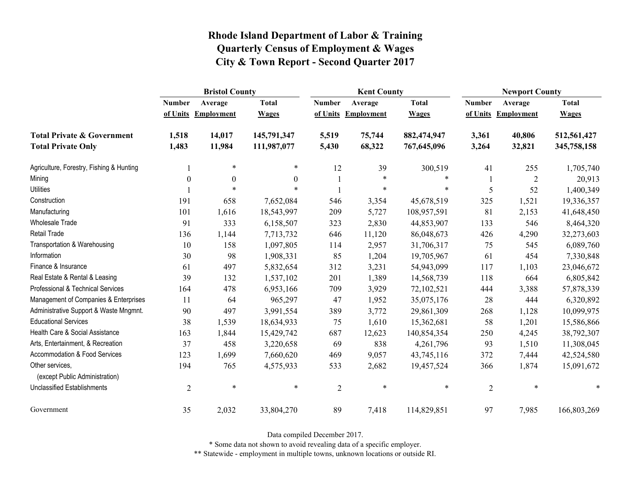|                                                   | <b>Bristol County</b> |                   |              |                | <b>Kent County</b> |              |                | <b>Newport County</b> |              |  |
|---------------------------------------------------|-----------------------|-------------------|--------------|----------------|--------------------|--------------|----------------|-----------------------|--------------|--|
|                                                   | <b>Number</b>         | Average           | <b>Total</b> | <b>Number</b>  | Average            | <b>Total</b> | <b>Number</b>  | Average               | <b>Total</b> |  |
|                                                   | of Units              | <b>Employment</b> | <b>Wages</b> | of Units       | Employment         | <b>Wages</b> | of Units       | <b>Employment</b>     | <b>Wages</b> |  |
| <b>Total Private &amp; Government</b>             | 1,518                 | 14,017            | 145,791,347  | 5,519          | 75,744             | 882,474,947  | 3,361          | 40,806                | 512,561,427  |  |
| <b>Total Private Only</b>                         | 1,483                 | 11,984            | 111,987,077  | 5,430          | 68,322             | 767,645,096  | 3,264          | 32,821                | 345,758,158  |  |
| Agriculture, Forestry, Fishing & Hunting          |                       | $\ast$            | $\ast$       | 12             | 39                 | 300,519      | 41             | 255                   | 1,705,740    |  |
| Mining                                            | $\boldsymbol{0}$      | $\boldsymbol{0}$  | $\theta$     |                | $\ast$             | $\ast$       |                | $\overline{2}$        | 20,913       |  |
| <b>Utilities</b>                                  |                       | $\ast$            | $\ast$       |                | $\ast$             | $\ast$       | 5              | 52                    | 1,400,349    |  |
| Construction                                      | 191                   | 658               | 7,652,084    | 546            | 3,354              | 45,678,519   | 325            | 1,521                 | 19,336,357   |  |
| Manufacturing                                     | 101                   | 1,616             | 18,543,997   | 209            | 5,727              | 108,957,591  | 81             | 2,153                 | 41,648,450   |  |
| Wholesale Trade                                   | 91                    | 333               | 6,158,507    | 323            | 2,830              | 44,853,907   | 133            | 546                   | 8,464,320    |  |
| <b>Retail Trade</b>                               | 136                   | 1,144             | 7,713,732    | 646            | 11,120             | 86,048,673   | 426            | 4,290                 | 32,273,603   |  |
| Transportation & Warehousing                      | 10                    | 158               | 1,097,805    | 114            | 2,957              | 31,706,317   | 75             | 545                   | 6,089,760    |  |
| Information                                       | 30                    | 98                | 1,908,331    | 85             | 1,204              | 19,705,967   | 61             | 454                   | 7,330,848    |  |
| Finance & Insurance                               | 61                    | 497               | 5,832,654    | 312            | 3,231              | 54,943,099   | 117            | 1,103                 | 23,046,672   |  |
| Real Estate & Rental & Leasing                    | 39                    | 132               | 1,537,102    | 201            | 1,389              | 14,568,739   | 118            | 664                   | 6,805,842    |  |
| Professional & Technical Services                 | 164                   | 478               | 6,953,166    | 709            | 3,929              | 72,102,521   | 444            | 3,388                 | 57,878,339   |  |
| Management of Companies & Enterprises             | 11                    | 64                | 965,297      | 47             | 1,952              | 35,075,176   | 28             | 444                   | 6,320,892    |  |
| Administrative Support & Waste Mngmnt.            | 90                    | 497               | 3,991,554    | 389            | 3,772              | 29,861,309   | 268            | 1,128                 | 10,099,975   |  |
| <b>Educational Services</b>                       | 38                    | 1,539             | 18,634,933   | 75             | 1,610              | 15,362,681   | 58             | 1,201                 | 15,586,866   |  |
| Health Care & Social Assistance                   | 163                   | 1,844             | 15,429,742   | 687            | 12,623             | 140,854,354  | 250            | 4,245                 | 38,792,307   |  |
| Arts, Entertainment, & Recreation                 | 37                    | 458               | 3,220,658    | 69             | 838                | 4,261,796    | 93             | 1,510                 | 11,308,045   |  |
| Accommodation & Food Services                     | 123                   | 1,699             | 7,660,620    | 469            | 9,057              | 43,745,116   | 372            | 7,444                 | 42,524,580   |  |
| Other services,<br>(except Public Administration) | 194                   | 765               | 4,575,933    | 533            | 2,682              | 19,457,524   | 366            | 1,874                 | 15,091,672   |  |
| Unclassified Establishments                       | $\overline{2}$        | $\ast$            | $\ast$       | $\overline{2}$ | $\ast$             | $\ast$       | $\overline{2}$ | $\ast$                | $\ast$       |  |
| Government                                        | 35                    | 2,032             | 33,804,270   | 89             | 7,418              | 114,829,851  | 97             | 7,985                 | 166,803,269  |  |

Data compiled December 2017.

\* Some data not shown to avoid revealing data of a specific employer.